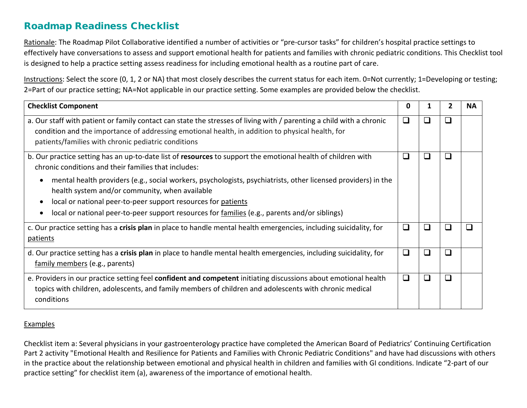## Roadmap Readiness Checklist

Rationale: The Roadmap Pilot Collaborative identified a number of activities or "pre-cursor tasks" for children's hospital practice settings to effectively have conversations to assess and support emotional health for patients and families with chronic pediatric conditions. This Checklist tool is designed to help a practice setting assess readiness for including emotional health as a routine part of care.

Instructions: Select the score (0, 1, 2 or NA) that most closely describes the current status for each item. 0=Not currently; 1=Developing or testing; 2=Part of our practice setting; NA=Not applicable in our practice setting. Some examples are provided below the checklist.

| <b>Checklist Component</b>                                                                                                                                                                                                                                                      | 0      | 1 | 2            | <b>NA</b> |
|---------------------------------------------------------------------------------------------------------------------------------------------------------------------------------------------------------------------------------------------------------------------------------|--------|---|--------------|-----------|
| a. Our staff with patient or family contact can state the stresses of living with / parenting a child with a chronic<br>condition and the importance of addressing emotional health, in addition to physical health, for<br>patients/families with chronic pediatric conditions | ❏      | ❏ | □            |           |
| b. Our practice setting has an up-to-date list of resources to support the emotional health of children with<br>chronic conditions and their families that includes:                                                                                                            | ❏      | ❏ | $\Box$       |           |
| mental health providers (e.g., social workers, psychologists, psychiatrists, other licensed providers) in the<br>health system and/or community, when available                                                                                                                 |        |   |              |           |
| local or national peer-to-peer support resources for patients<br>$\bullet$<br>local or national peer-to-peer support resources for families (e.g., parents and/or siblings)<br>$\bullet$                                                                                        |        |   |              |           |
| c. Our practice setting has a crisis plan in place to handle mental health emergencies, including suicidality, for<br>patients                                                                                                                                                  | ❏      | ⊔ | $\Box$       |           |
| d. Our practice setting has a crisis plan in place to handle mental health emergencies, including suicidality, for<br>family members (e.g., parents)                                                                                                                            | $\Box$ | ❏ | $\mathsf{L}$ |           |
| e. Providers in our practice setting feel confident and competent initiating discussions about emotional health<br>topics with children, adolescents, and family members of children and adolescents with chronic medical<br>conditions                                         | $\Box$ | ப | $\Box$       |           |

## **Examples**

Checklist item a: Several physicians in your gastroenterology practice have completed the American Board of Pediatrics' Continuing Certification Part 2 activity "Emotional Health and Resilience for Patients and Families with Chronic Pediatric Conditions" and have had discussions with others in the practice about the relationship between emotional and physical health in children and families with GI conditions. Indicate "2-part of our practice setting" for checklist item (a), awareness of the importance of emotional health.